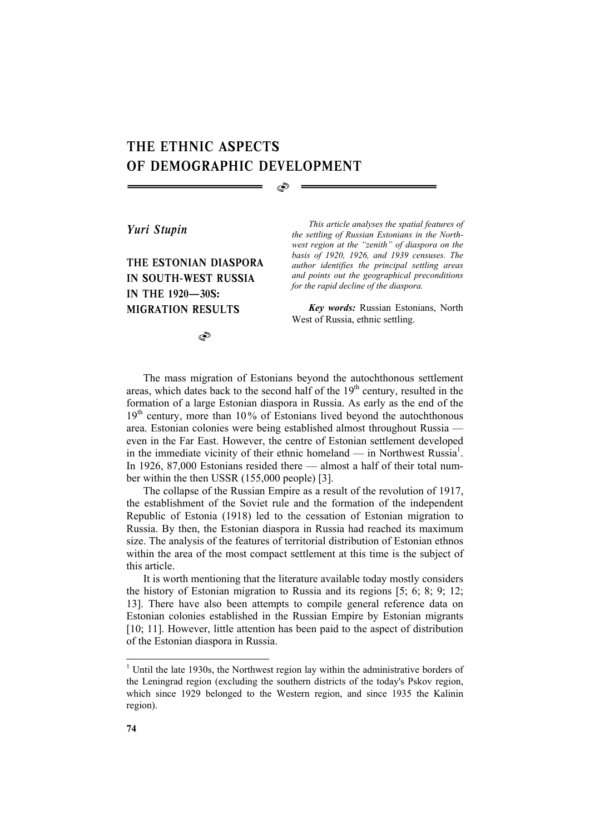## THE ETHNIC ASPECTS OF DEMOGRAPHIC DEVELOPMENT

 $\circledcirc$ 

*Yuri Stupin* 

THE ESTONIAN DIASPORA IN SOUTH-WEST RUSSIA IN THE 1920—30S: MIGRATION RESULTS

*This article analyses the spatial features of the settling of Russian Estonians in the Northwest region at the "zenith" of diaspora on the basis of 1920, 1926, and 1939 censuses. The author identifies the principal settling areas and points out the geographical preconditions for the rapid decline of the diaspora.* 

*Key words:* Russian Estonians, North West of Russia, ethnic settling.

 $\circledcirc$ 

The mass migration of Estonians beyond the autochthonous settlement areas, which dates back to the second half of the  $19<sup>th</sup>$  century, resulted in the formation of a large Estonian diaspora in Russia. As early as the end of the  $19<sup>th</sup>$  century, more than 10% of Estonians lived beyond the autochthonous area. Estonian colonies were being established almost throughout Russia even in the Far East. However, the centre of Estonian settlement developed in the immediate vicinity of their ethnic homeland — in Northwest Russia<sup>1</sup>. In 1926, 87,000 Estonians resided there — almost a half of their total number within the then USSR (155,000 people) [3].

The collapse of the Russian Empire as a result of the revolution of 1917, the establishment of the Soviet rule and the formation of the independent Republic of Estonia (1918) led to the cessation of Estonian migration to Russia. By then, the Estonian diaspora in Russia had reached its maximum size. The analysis of the features of territorial distribution of Estonian ethnos within the area of the most compact settlement at this time is the subject of this article.

It is worth mentioning that the literature available today mostly considers the history of Estonian migration to Russia and its regions [5; 6; 8; 9; 12; 13]. There have also been attempts to compile general reference data on Estonian colonies established in the Russian Empire by Estonian migrants [10; 11]. However, little attention has been paid to the aspect of distribution of the Estonian diaspora in Russia.

 $\overline{a}$ 

 $1$  Until the late 1930s, the Northwest region lay within the administrative borders of the Leningrad region (excluding the southern districts of the today's Pskov region, which since 1929 belonged to the Western region, and since 1935 the Kalinin region).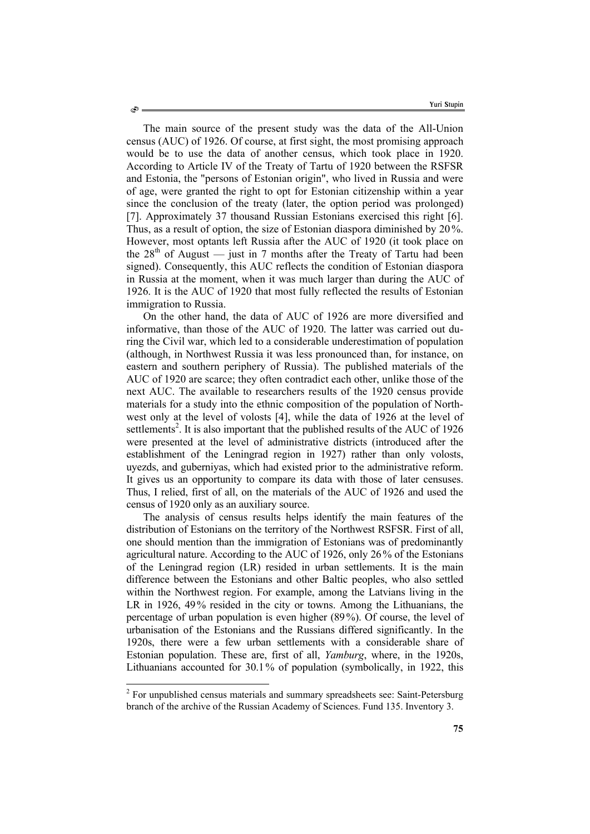The main source of the present study was the data of the All-Union census (AUC) of 1926. Of course, at first sight, the most promising approach would be to use the data of another census, which took place in 1920. According to Article IV of the Treaty of Tartu of 1920 between the RSFSR and Estonia, the "persons of Estonian origin", who lived in Russia and were of age, were granted the right to opt for Estonian citizenship within a year since the conclusion of the treaty (later, the option period was prolonged) [7]. Approximately 37 thousand Russian Estonians exercised this right [6]. Thus, as a result of option, the size of Estonian diaspora diminished by 20 %. However, most optants left Russia after the AUC of 1920 (it took place on the  $28<sup>th</sup>$  of August — just in 7 months after the Treaty of Tartu had been signed). Consequently, this AUC reflects the condition of Estonian diaspora in Russia at the moment, when it was much larger than during the AUC of 1926. It is the AUC of 1920 that most fully reflected the results of Estonian immigration to Russia.

On the other hand, the data of AUC of 1926 are more diversified and informative, than those of the AUC of 1920. The latter was carried out during the Civil war, which led to a considerable underestimation of population (although, in Northwest Russia it was less pronounced than, for instance, on eastern and southern periphery of Russia). The published materials of the AUC of 1920 are scarce; they often contradict each other, unlike those of the next AUC. The available to researchers results of the 1920 census provide materials for a study into the ethnic composition of the population of Northwest only at the level of volosts [4], while the data of 1926 at the level of settlements<sup>2</sup>. It is also important that the published results of the AUC of 1926 were presented at the level of administrative districts (introduced after the establishment of the Leningrad region in 1927) rather than only volosts, uyezds, and guberniyas, which had existed prior to the administrative reform. It gives us an opportunity to compare its data with those of later censuses. Thus, I relied, first of all, on the materials of the AUC of 1926 and used the census of 1920 only as an auxiliary source.

The analysis of census results helps identify the main features of the distribution of Estonians on the territory of the Northwest RSFSR. First of all, one should mention than the immigration of Estonians was of predominantly agricultural nature. According to the AUC of 1926, only 26% of the Estonians of the Leningrad region (LR) resided in urban settlements. It is the main difference between the Estonians and other Baltic peoples, who also settled within the Northwest region. For example, among the Latvians living in the LR in 1926, 49% resided in the city or towns. Among the Lithuanians, the percentage of urban population is even higher (89%). Of course, the level of urbanisation of the Estonians and the Russians differed significantly. In the 1920s, there were a few urban settlements with a considerable share of Estonian population. These are, first of all, *Yamburg*, where, in the 1920s, Lithuanians accounted for 30.1% of population (symbolically, in 1922, this

l

Ò

 $2^{2}$  For unpublished census materials and summary spreadsheets see: Saint-Petersburg branch of the archive of the Russian Academy of Sciences. Fund 135. Inventory 3.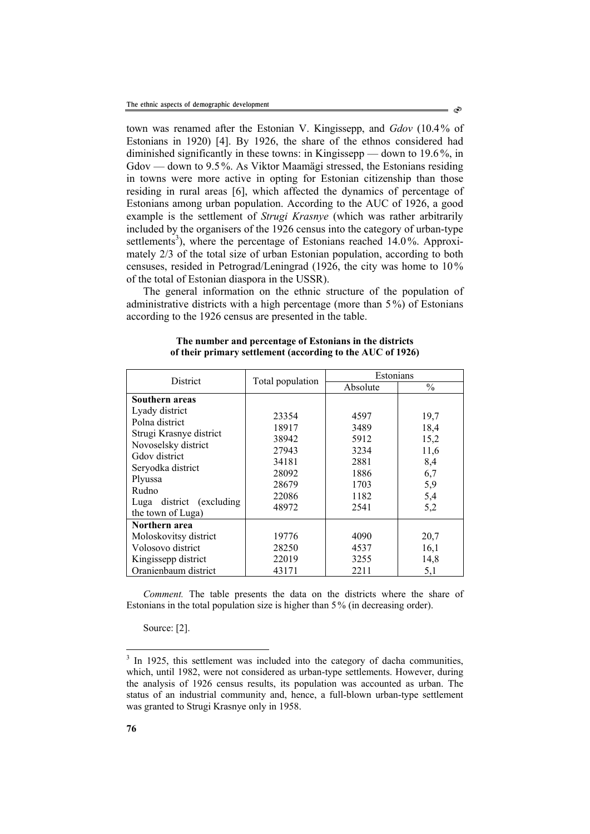town was renamed after the Estonian V. Kingissepp, and *Gdov* (10.4% of Estonians in 1920) [4]. By 1926, the share of the ethnos considered had diminished significantly in these towns: in Kingissepp — down to 19.6 %, in Gdov — down to 9.5 %. As Viktor Maamägi stressed, the Estonians residing in towns were more active in opting for Estonian citizenship than those residing in rural areas [6], which affected the dynamics of percentage of Estonians among urban population. According to the AUC of 1926, a good example is the settlement of *Strugi Krasnye* (which was rather arbitrarily included by the organisers of the 1926 census into the category of urban-type settlements<sup>3</sup>), where the percentage of Estonians reached 14.0%. Approximately 2/3 of the total size of urban Estonian population, according to both censuses, resided in Petrograd/Leningrad (1926, the city was home to 10% of the total of Estonian diaspora in the USSR).

The general information on the ethnic structure of the population of administrative districts with a high percentage (more than 5 %) of Estonians according to the 1926 census are presented in the table.

| <b>District</b>                      | Total population | Estonians |               |
|--------------------------------------|------------------|-----------|---------------|
|                                      |                  | Absolute  | $\frac{0}{0}$ |
| Southern areas                       |                  |           |               |
| Lyady district                       | 23354            | 4597      | 19,7          |
| Polna district                       | 18917            | 3489      | 18,4          |
| Strugi Krasnye district              | 38942            | 5912      | 15,2          |
| Novoselsky district<br>Gdov district | 27943            | 3234      | 11,6          |
| Seryodka district                    | 34181            | 2881      | 8,4           |
| Plyussa                              | 28092            | 1886      | 6,7           |
| Rudno                                | 28679            | 1703      | 5,9           |
| Luga district (excluding             | 22086            | 1182      | 5,4           |
| the town of Luga)                    | 48972            | 2541      | 5,2           |
| Northern area                        |                  |           |               |
| Moloskovitsy district                | 19776            | 4090      | 20,7          |
| Volosovo district                    | 28250            | 4537      | 16,1          |
| Kingissepp district                  | 22019            | 3255      | 14,8          |
| Oranienbaum district                 | 43171            | 2211      | 5,1           |

**The number and percentage of Estonians in the districts of their primary settlement (according to the AUC of 1926)** 

*Comment.* The table presents the data on the districts where the share of Estonians in the total population size is higher than 5% (in decreasing order).

Source: [2].

**76** 

l

 $3$  In 1925, this settlement was included into the category of dacha communities, which, until 1982, were not considered as urban-type settlements. However, during the analysis of 1926 census results, its population was accounted as urban. The status of an industrial community and, hence, a full-blown urban-type settlement was granted to Strugi Krasnye only in 1958.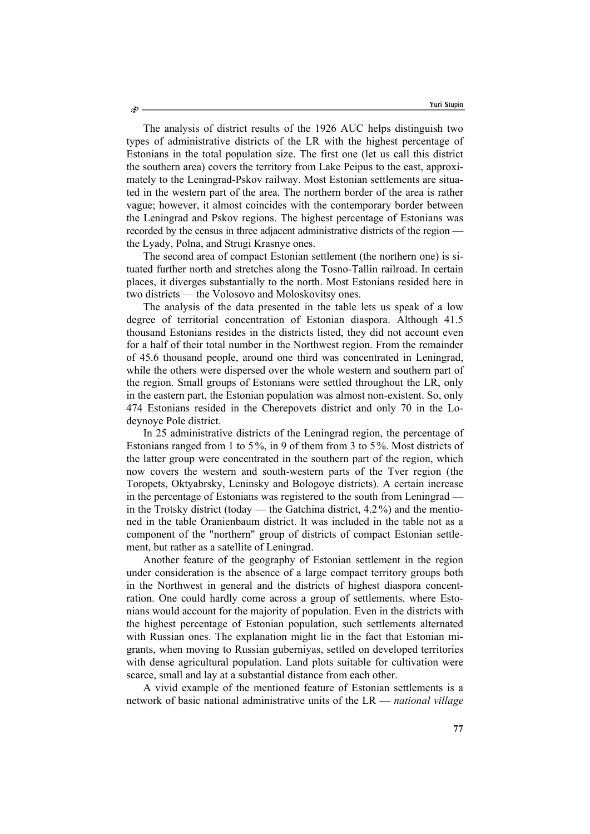The analysis of district results of the 1926 AUC helps distinguish two types of administrative districts of the LR with the highest percentage of Estonians in the total population size. The first one (let us call this district the southern area) covers the territory from Lake Peipus to the east, approximately to the Leningrad-Pskov railway. Most Estonian settlements are situated in the western part of the area. The northern border of the area is rather vague; however, it almost coincides with the contemporary border between the Leningrad and Pskov regions. The highest percentage of Estonians was recorded by the census in three adjacent administrative districts of the region the Lyady, Polna, and Strugi Krasnye ones.

The second area of compact Estonian settlement (the northern one) is situated further north and stretches along the Tosno-Tallin railroad. In certain places, it diverges substantially to the north. Most Estonians resided here in two districts — the Volosovo and Moloskovitsy ones.

The analysis of the data presented in the table lets us speak of a low degree of territorial concentration of Estonian diaspora. Although 41.5 thousand Estonians resides in the districts listed, they did not account even for a half of their total number in the Northwest region. From the remainder of 45.6 thousand people, around one third was concentrated in Leningrad, while the others were dispersed over the whole western and southern part of the region. Small groups of Estonians were settled throughout the LR, only in the eastern part, the Estonian population was almost non-existent. So, only 474 Estonians resided in the Cherepovets district and only 70 in the Lodeynoye Pole district.

In 25 administrative districts of the Leningrad region, the percentage of Estonians ranged from 1 to 5%, in 9 of them from 3 to 5%. Most districts of the latter group were concentrated in the southern part of the region, which now covers the western and south-western parts of the Tver region (the Toropets, Oktyabrsky, Leninsky and Bologoye districts). A certain increase in the percentage of Estonians was registered to the south from Leningrad in the Trotsky district (today — the Gatchina district, 4.2 %) and the mentioned in the table Oranienbaum district. It was included in the table not as a component of the "northern" group of districts of compact Estonian settlement, but rather as a satellite of Leningrad.

Another feature of the geography of Estonian settlement in the region under consideration is the absence of a large compact territory groups both in the Northwest in general and the districts of highest diaspora concentration. One could hardly come across a group of settlements, where Estonians would account for the majority of population. Even in the districts with the highest percentage of Estonian population, such settlements alternated with Russian ones. The explanation might lie in the fact that Estonian migrants, when moving to Russian guberniyas, settled on developed territories with dense agricultural population. Land plots suitable for cultivation were scarce, small and lay at a substantial distance from each other.

A vivid example of the mentioned feature of Estonian settlements is a network of basic national administrative units of the LR — *national village*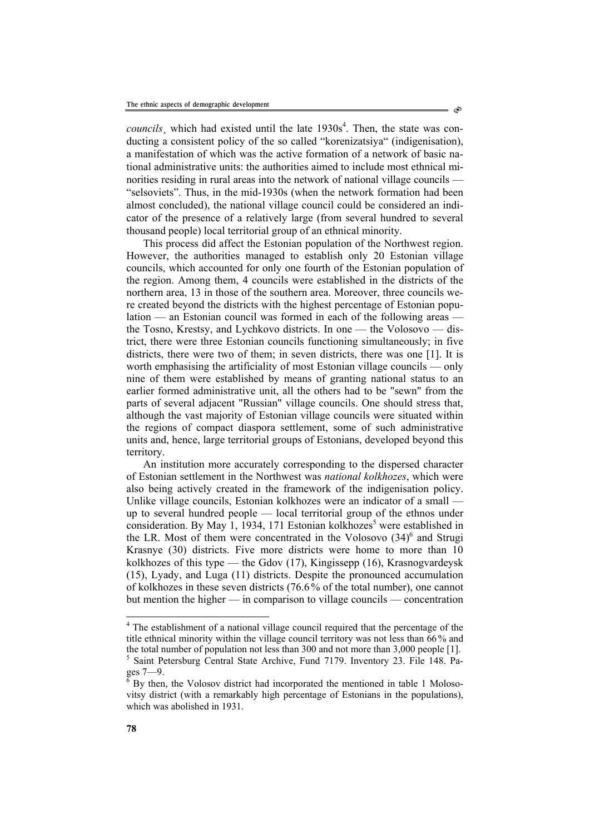*councils*, which had existed until the late  $1930s<sup>4</sup>$ . Then, the state was conducting a consistent policy of the so called "korenizatsiya" (indigenisation), a manifestation of which was the active formation of a network of basic national administrative units: the authorities aimed to include most ethnical minorities residing in rural areas into the network of national village councils — "selsoviets". Thus, in the mid-1930s (when the network formation had been almost concluded), the national village council could be considered an indicator of the presence of a relatively large (from several hundred to several thousand people) local territorial group of an ethnical minority.

This process did affect the Estonian population of the Northwest region. However, the authorities managed to establish only 20 Estonian village councils, which accounted for only one fourth of the Estonian population of the region. Among them, 4 councils were established in the districts of the northern area, 13 in those of the southern area. Moreover, three councils were created beyond the districts with the highest percentage of Estonian population — an Estonian council was formed in each of the following areas the Tosno, Krestsy, and Lychkovo districts. In one — the Volosovo — district, there were three Estonian councils functioning simultaneously; in five districts, there were two of them; in seven districts, there was one [1]. It is worth emphasising the artificiality of most Estonian village councils — only nine of them were established by means of granting national status to an earlier formed administrative unit, all the others had to be "sewn" from the parts of several adjacent "Russian" village councils. One should stress that, although the vast majority of Estonian village councils were situated within the regions of compact diaspora settlement, some of such administrative units and, hence, large territorial groups of Estonians, developed beyond this territory.

An institution more accurately corresponding to the dispersed character of Estonian settlement in the Northwest was *national kolkhozes*, which were also being actively created in the framework of the indigenisation policy. Unlike village councils, Estonian kolkhozes were an indicator of a small up to several hundred people — local territorial group of the ethnos under consideration. By May 1, 1934, 171 Estonian kolkhozes<sup>5</sup> were established in the LR. Most of them were concentrated in the Volosovo  $(34)^6$  and Strugi Krasnye (30) districts. Five more districts were home to more than 10 kolkhozes of this type — the Gdov (17), Kingissepp (16), Krasnogvardeysk (15), Lyady, and Luga (11) districts. Despite the pronounced accumulation of kolkhozes in these seven districts (76.6 % of the total number), one cannot but mention the higher — in comparison to village councils — concentration

l <sup>4</sup> The establishment of a national village council required that the percentage of the title ethnical minority within the village council territory was not less than 66% and the total number of population not less than 300 and not more than 3,000 people [1].<br><sup>5</sup> Saint Petersburg Central State Archive, Fund 7179. Inventory 23. File 148. Pa-

 $ges$  7—9.

By then, the Volosov district had incorporated the mentioned in table 1 Molosovitsy district (with a remarkably high percentage of Estonians in the populations), which was abolished in 1931.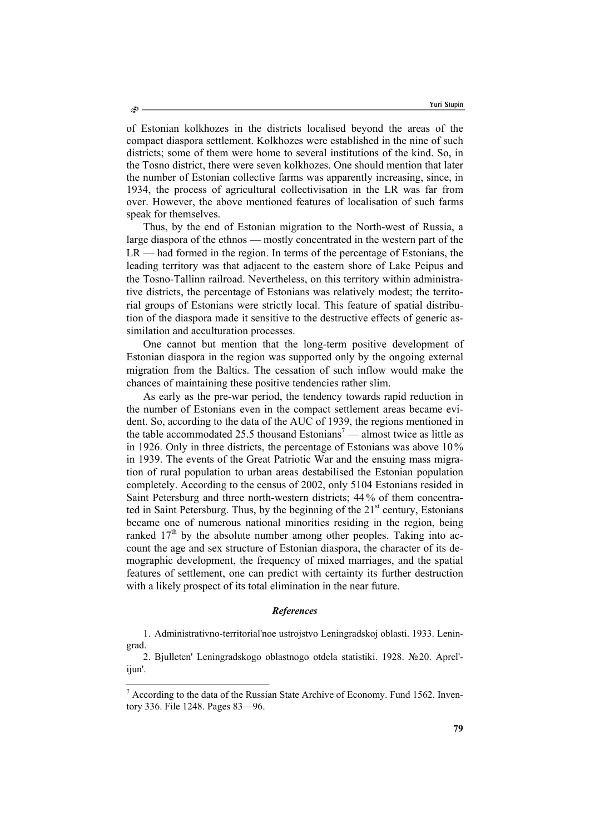of Estonian kolkhozes in the districts localised beyond the areas of the compact diaspora settlement. Kolkhozes were established in the nine of such districts; some of them were home to several institutions of the kind. So, in the Tosno district, there were seven kolkhozes. One should mention that later the number of Estonian collective farms was apparently increasing, since, in 1934, the process of agricultural collectivisation in the LR was far from over. However, the above mentioned features of localisation of such farms speak for themselves.

Thus, by the end of Estonian migration to the North-west of Russia, a large diaspora of the ethnos — mostly concentrated in the western part of the LR — had formed in the region. In terms of the percentage of Estonians, the leading territory was that adjacent to the eastern shore of Lake Peipus and the Tosno-Tallinn railroad. Nevertheless, on this territory within administrative districts, the percentage of Estonians was relatively modest; the territorial groups of Estonians were strictly local. This feature of spatial distribution of the diaspora made it sensitive to the destructive effects of generic assimilation and acculturation processes.

One cannot but mention that the long-term positive development of Estonian diaspora in the region was supported only by the ongoing external migration from the Baltics. The cessation of such inflow would make the chances of maintaining these positive tendencies rather slim.

As early as the pre-war period, the tendency towards rapid reduction in the number of Estonians even in the compact settlement areas became evident. So, according to the data of the AUC of 1939, the regions mentioned in the table accommodated 25.5 thousand Estonians<sup>7</sup> — almost twice as little as in 1926. Only in three districts, the percentage of Estonians was above 10% in 1939. The events of the Great Patriotic War and the ensuing mass migration of rural population to urban areas destabilised the Estonian population completely. According to the census of 2002, only 5104 Estonians resided in Saint Petersburg and three north-western districts; 44 % of them concentrated in Saint Petersburg. Thus, by the beginning of the  $21<sup>st</sup>$  century, Estonians became one of numerous national minorities residing in the region, being ranked  $17<sup>th</sup>$  by the absolute number among other peoples. Taking into account the age and sex structure of Estonian diaspora, the character of its demographic development, the frequency of mixed marriages, and the spatial features of settlement, one can predict with certainty its further destruction with a likely prospect of its total elimination in the near future.

## *References*

1. Administrativno-territorial'noe ustrojstvo Leningradskoj oblasti. 1933. Leningrad.

2. Bjulleten' Leningradskogo oblastnogo otdela statistiki. 1928. №20. Aprel' ijun'.

l

 $<sup>7</sup>$  According to the data of the Russian State Archive of Economy. Fund 1562. Inven-</sup> tory 336. File 1248. Pages 83—96.